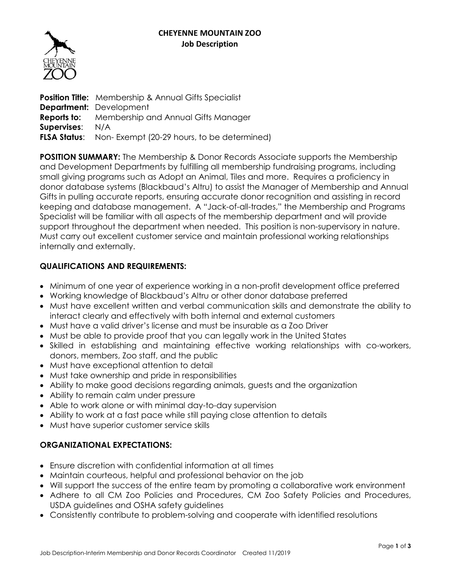

**Position Title:** Membership & Annual Gifts Specialist **Department:** Development **Reports to:** Membership and Annual Gifts Manager **Supervises**: N/A **FLSA Status:** Non-Exempt (20-29 hours, to be determined)

**POSITION SUMMARY:** The Membership & Donor Records Associate supports the Membership and Development Departments by fulfilling all membership fundraising programs, including small giving programs such as Adopt an Animal, Tiles and more. Requires a proficiency in donor database systems (Blackbaud's Altru) to assist the Manager of Membership and Annual Gifts in pulling accurate reports, ensuring accurate donor recognition and assisting in record keeping and database management. A "Jack-of-all-trades," the Membership and Programs Specialist will be familiar with all aspects of the membership department and will provide support throughout the department when needed. This position is non-supervisory in nature. Must carry out excellent customer service and maintain professional working relationships internally and externally.

# **QUALIFICATIONS AND REQUIREMENTS:**

- Minimum of one year of experience working in a non-profit development office preferred
- Working knowledge of Blackbaud's Altru or other donor database preferred
- Must have excellent written and verbal communication skills and demonstrate the ability to interact clearly and effectively with both internal and external customers
- Must have a valid driver's license and must be insurable as a Zoo Driver
- Must be able to provide proof that you can legally work in the United States
- Skilled in establishing and maintaining effective working relationships with co-workers, donors, members, Zoo staff, and the public
- Must have exceptional attention to detail
- Must take ownership and pride in responsibilities
- Ability to make good decisions regarding animals, guests and the organization
- Ability to remain calm under pressure
- Able to work alone or with minimal day-to-day supervision
- Ability to work at a fast pace while still paying close attention to details
- Must have superior customer service skills

# **ORGANIZATIONAL EXPECTATIONS:**

- Ensure discretion with confidential information at all times
- Maintain courteous, helpful and professional behavior on the job
- Will support the success of the entire team by promoting a collaborative work environment
- Adhere to all CM Zoo Policies and Procedures, CM Zoo Safety Policies and Procedures, USDA guidelines and OSHA safety guidelines
- Consistently contribute to problem-solving and cooperate with identified resolutions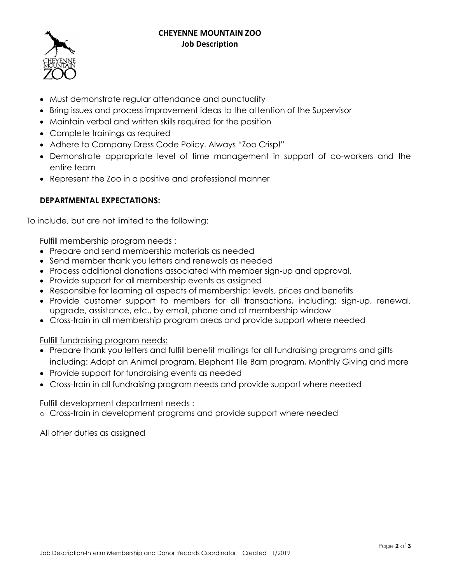#### **CHEYENNE MOUNTAIN ZOO Job Description**



- Must demonstrate regular attendance and punctuality
- Bring issues and process improvement ideas to the attention of the Supervisor
- Maintain verbal and written skills required for the position
- Complete trainings as required
- Adhere to Company Dress Code Policy. Always "Zoo Crisp!"
- Demonstrate appropriate level of time management in support of co-workers and the entire team
- Represent the Zoo in a positive and professional manner

# **DEPARTMENTAL EXPECTATIONS:**

To include, but are not limited to the following:

Fulfill membership program needs :

- Prepare and send membership materials as needed
- Send member thank you letters and renewals as needed
- Process additional donations associated with member sign-up and approval.
- Provide support for all membership events as assigned
- Responsible for learning all aspects of membership: levels, prices and benefits
- Provide customer support to members for all transactions, including: sign-up, renewal, upgrade, assistance, etc., by email, phone and at membership window
- Cross-train in all membership program areas and provide support where needed

Fulfill fundraising program needs:

- Prepare thank you letters and fulfill benefit mailings for all fundraising programs and gifts including: Adopt an Animal program, Elephant Tile Barn program, Monthly Giving and more
- Provide support for fundraising events as needed
- Cross-train in all fundraising program needs and provide support where needed

# Fulfill development department needs :

o Cross-train in development programs and provide support where needed

All other duties as assigned